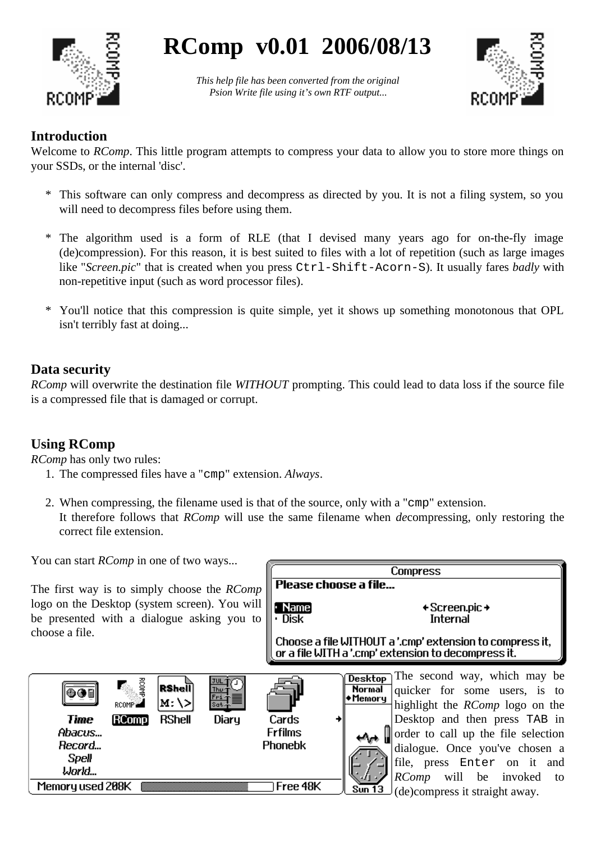

# **RComp v0.01 2006/08/13**

*This help file has been converted from the original Psion Write file using it's own RTF output...*



# **Introduction**

Welcome to *RComp*. This little program attempts to compress your data to allow you to store more things on your SSDs, or the internal 'disc'.

- \* This software can only compress and decompress as directed by you. It is not a filing system, so you will need to decompress files before using them.
- \* The algorithm used is a form of RLE (that I devised many years ago for on-the-fly image (de)compression). For this reason, it is best suited to files with a lot of repetition (such as large images like "*Screen.pic*" that is created when you press Ctrl-Shift-Acorn-S). It usually fares *badly* with non-repetitive input (such as word processor files).
- \* You'll notice that this compression is quite simple, yet it shows up something monotonous that OPL isn't terribly fast at doing...

## **Data security**

*RComp* will overwrite the destination file *WITHOUT* prompting. This could lead to data loss if the source file is a compressed file that is damaged or corrupt.

# **Using RComp**

 $\odot$  ()  $\blacksquare$ 

**Time** 

Abacus...

Record... **Spell** World... Memory used 208K

*RComp* has only two rules:

- 1. The compressed files have a "cmp" extension. *Always*.
- 2. When compressing, the filename used is that of the source, only with a "cmp" extension. It therefore follows that *RComp* will use the same filename when *de*compressing, only restoring the correct file extension.

**Tree 48K** 

 $S\overline{un}$  13

You can start *RComp* in one of two ways...

[RComp

The first way is to simply choose the *RComp* logo on the Desktop (system screen). You will be presented with a dialogue asking you to choose a file.

RSheil

M: \>

**RShell** 

Diaru

| Compress                           |                                                                                                                                               |  |
|------------------------------------|-----------------------------------------------------------------------------------------------------------------------------------------------|--|
|                                    | Please choose a file                                                                                                                          |  |
| <b>Name</b><br><b>Disk</b>         | + Screen.pic →<br>Internal                                                                                                                    |  |
|                                    | Choose a file WITHOUT a '.cmp' extension to compress it,<br>or a file WITH a '.cmp' extension to decompress it.                               |  |
|                                    | The second way, which may be<br><b>Desktop</b><br>Normal<br>quicker for some users, is to<br>Memory<br>highlight the <i>RComp</i> logo on the |  |
| Cards<br><b>Frfilms</b><br>Phonebk | Desktop and then press TAB in<br>order to call up the file selection<br>dialogue. Once you've chosen a                                        |  |

file, press Enter on it and *RComp* will be invoked to (de)compress it straight away.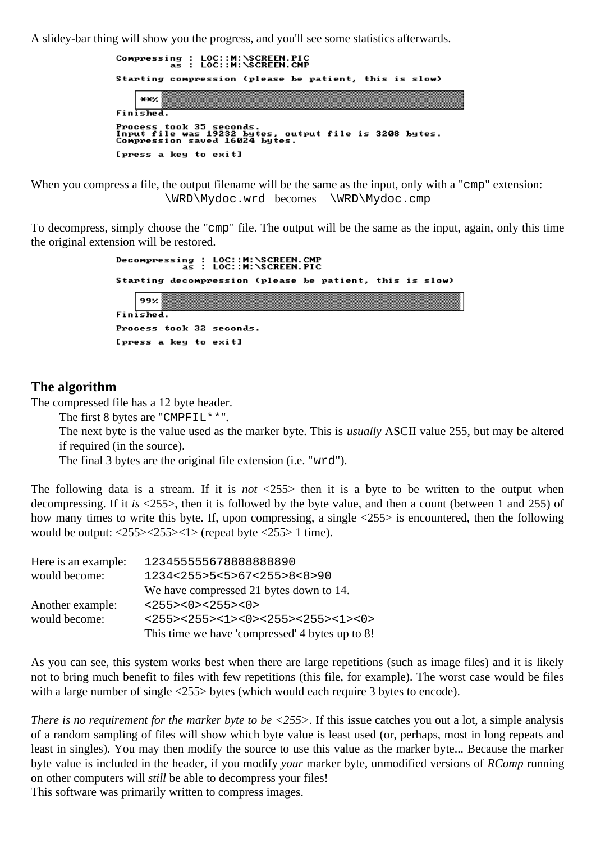A slidey-bar thing will show you the progress, and you'll see some statistics afterwards.



When you compress a file, the output filename will be the same as the input, only with a "cmp" extension: \WRD\Mydoc.wrd becomes \WRD\Mydoc.cmp

To decompress, simply choose the "cmp" file. The output will be the same as the input, again, only this time the original extension will be restored.



#### **The algorithm**

The compressed file has a 12 byte header.

The first 8 bytes are "CMPFIL\*\*".

The next byte is the value used as the marker byte. This is *usually* ASCII value 255, but may be altered if required (in the source).

The final 3 bytes are the original file extension (i.e. "wrd").

The following data is a stream. If it is *not* <255> then it is a byte to be written to the output when decompressing. If it *is* <255>, then it is followed by the byte value, and then a count (between 1 and 255) of how many times to write this byte. If, upon compressing, a single <255> is encountered, then the following would be output:  $\langle 255 \rangle \langle 255 \rangle \langle 1 \rangle$  (repeat byte  $\langle 255 \rangle$  1 time).

| Here is an example: | 123455555678888888890                           |
|---------------------|-------------------------------------------------|
| would become:       | 1234<255>5<5>67<255>8<8>90                      |
|                     | We have compressed 21 bytes down to 14.         |
| Another example:    | <255><0><255><0>                                |
| would become:       | <255><255><1>>>>>>>>>>>>255><255><1><0>         |
|                     | This time we have 'compressed' 4 bytes up to 8! |

As you can see, this system works best when there are large repetitions (such as image files) and it is likely not to bring much benefit to files with few repetitions (this file, for example). The worst case would be files with a large number of single  $\langle 255 \rangle$  bytes (which would each require 3 bytes to encode).

*There is no requirement for the marker byte to be <255>.* If this issue catches you out a lot, a simple analysis of a random sampling of files will show which byte value is least used (or, perhaps, most in long repeats and least in singles). You may then modify the source to use this value as the marker byte... Because the marker byte value is included in the header, if you modify *your* marker byte, unmodified versions of *RComp* running on other computers will *still* be able to decompress your files!

This software was primarily written to compress images.